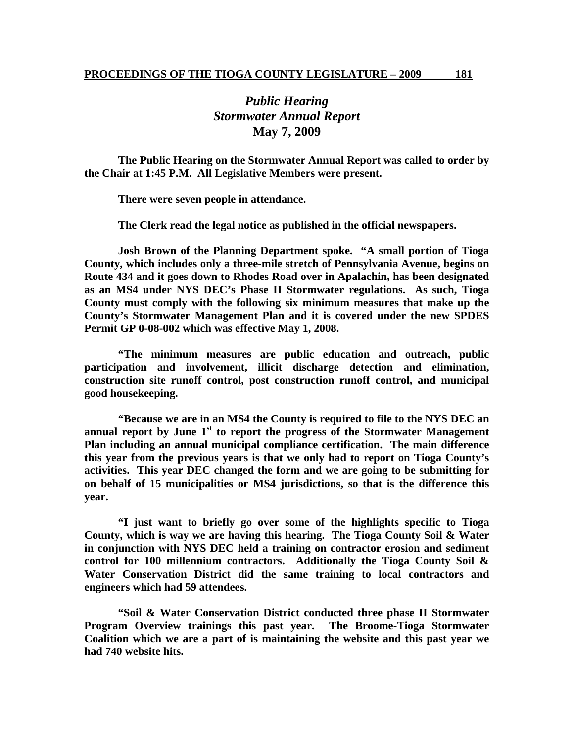## *Public Hearing Stormwater Annual Report*  **May 7, 2009**

 **The Public Hearing on the Stormwater Annual Report was called to order by the Chair at 1:45 P.M. All Legislative Members were present.** 

 **There were seven people in attendance.** 

 **The Clerk read the legal notice as published in the official newspapers.** 

 **Josh Brown of the Planning Department spoke. "A small portion of Tioga County, which includes only a three-mile stretch of Pennsylvania Avenue, begins on Route 434 and it goes down to Rhodes Road over in Apalachin, has been designated as an MS4 under NYS DEC's Phase II Stormwater regulations. As such, Tioga County must comply with the following six minimum measures that make up the County's Stormwater Management Plan and it is covered under the new SPDES Permit GP 0-08-002 which was effective May 1, 2008.** 

 **"The minimum measures are public education and outreach, public participation and involvement, illicit discharge detection and elimination, construction site runoff control, post construction runoff control, and municipal good housekeeping.** 

 **"Because we are in an MS4 the County is required to file to the NYS DEC an**  annual report by June 1<sup>st</sup> to report the progress of the Stormwater Management **Plan including an annual municipal compliance certification. The main difference this year from the previous years is that we only had to report on Tioga County's activities. This year DEC changed the form and we are going to be submitting for on behalf of 15 municipalities or MS4 jurisdictions, so that is the difference this year.** 

 **"I just want to briefly go over some of the highlights specific to Tioga County, which is way we are having this hearing. The Tioga County Soil & Water in conjunction with NYS DEC held a training on contractor erosion and sediment control for 100 millennium contractors. Additionally the Tioga County Soil & Water Conservation District did the same training to local contractors and engineers which had 59 attendees.** 

 **"Soil & Water Conservation District conducted three phase II Stormwater Program Overview trainings this past year. The Broome-Tioga Stormwater Coalition which we are a part of is maintaining the website and this past year we had 740 website hits.**